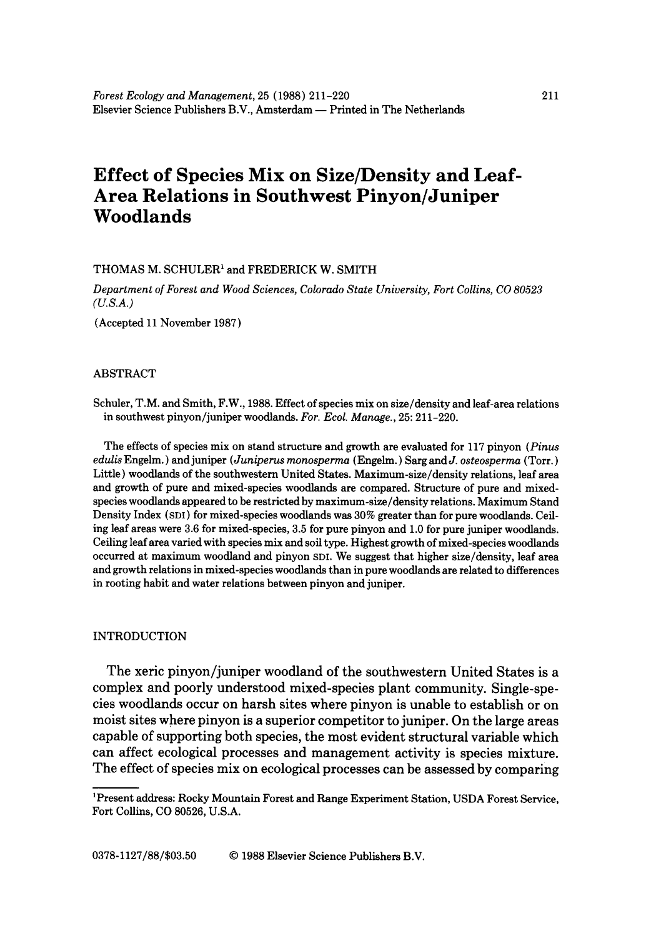# **Effect of Species Mix on Size/Density and Leaf-Area Relations in Southwest Pinyon/Juniper Woodlands**

## THOMAS M. SCHULER<sup>1</sup> and FREDERICK W. SMITH

*Department of Forest and Wood Sciences, Colorado State University, Fort Collins, CO 80523 (U.S.A.)* 

(Accepted 11 November 1987)

## ABSTRACT

Schuler, T.M. and Smith, F.W., 1988. Effect of species mix on size/density and leaf-area relations in southwest pinyon/juniper woodlands. *For. Ecol. Manage.,* 25: 211-220.

The effects of species mix on stand structure and growth are evaluated for 117 pinyon *(Pinus edulis* Engelm.) and juniper *( Juniperus monosperma* (Engelm.) Sarg *and J. osteosperma* (Tort.) Little) woodlands of the southwestern United States. Maximum-size/density relations, leaf area and growth of pure and mixed-species woodlands are compared. Structure of pure and mixedspecies woodlands appeared to be restricted by maximum-size/density relations. Maximum Stand Density Index (SDI) for mixed-species woodlands was 30% greater than for pure woodlands. Ceiling leaf areas were 3.6 for mixed-species, 3.5 for pure pinyon and 1.0 for pure juniper woodlands. Ceiling leaf area varied with species mix and soil type. Highest growth of mixed-species woodlands occurred at maximum woodland and pinyon SDL We suggest that higher size/density, leaf area and growth relations in mixed-species woodlands than in pure woodlands are related to differences in rooting habit and water relations between pinyon and juniper.

## INTRODUCTION

The xeric pinyon/juniper woodland of the southwestern United States is a complex and poorly understood mixed-species plant community. Single-species woodlands occur on harsh sites where pinyon is unable to establish or on moist sites where pinyon is a superior competitor to juniper. On the large areas capable of supporting both species, the most evident structural variable which can affect ecological processes and management activity is species mixture. The effect of species mix on ecological processes can be assessed by comparing

<sup>1</sup>Present address: Rocky Mountain Forest and Range Experiment Station, USDA Forest Service, Fort Collins, CO 80526, U.S.A.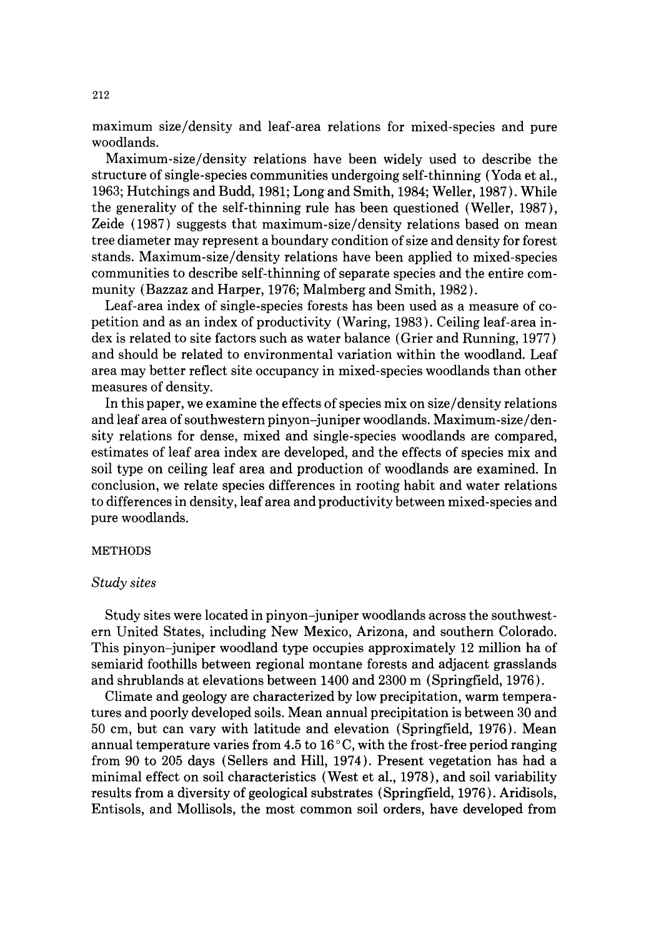maximum size/density and leaf-area relations for mixed-species and pure woodlands.

Maximum-size/density relations have been widely used to describe the structure of single-species communities undergoing self-thinning (Yoda et al., 1963; Hutchings and Budd, 1981; Long and Smith, 1984; Weller, 1987). While the generality of the self-thinning rule has been questioned (Weller, 1987), Zeide (1987) suggests that maximum-size/density relations based on mean tree diameter may represent a boundary condition of size and density for forest stands. Maximum-size/density relations have been applied to mixed-species communities to describe self-thinning of separate species and the entire community (Bazzaz and Harper, 1976; Malmberg and Smith, 1982).

Leaf-area index of single-species forests has been used as a measure of copetition and as an index of productivity (Waring, 1983). Ceiling leaf-area index is related to site factors such as water balance (Grier and Running, 1977) and should be related to environmental variation within the woodland. Leaf area may better reflect site occupancy in mixed-species woodlands than other measures of density.

In this paper, we examine the effects of species mix on size/density relations and leaf area of southwestern pinyon-juniper woodlands. Maximum-size/density relations for dense, mixed and single-species woodlands are compared, estimates of leaf area index are developed, and the effects of species mix and soil type on ceiling leaf area and production of woodlands are examined. In conclusion, we relate species differences in rooting habit and water relations to differences in density, leaf area and productivity between mixed-species and pure woodlands.

### METHODS

## *Study sites*

Study sites were located in pinyon-juniper woodlands across the southwestern United States, including New Mexico, Arizona, and southern Colorado. This pinyon-juniper woodland type occupies approximately 12 million ha of semiarid foothills between regional montane forests and adjacent grasslands and shrublands at elevations between 1400 and 2300 m (Springfield, 1976).

Climate and geology are characterized by low precipitation, warm temperatures and poorly developed soils. Mean annual precipitation is between 30 and 50 cm, but can vary with latitude and elevation (Springfield, 1976). Mean annual temperature varies from 4.5 to  $16^{\circ}$ C, with the frost-free period ranging from 90 to 205 days (Sellers and Hill, 1974). Present vegetation has had a minimal effect on soil characteristics (West et al., 1978), and soil variability results from a diversity of geological substrates (Springfield, 1976). Aridisols, Entisols, and Mollisols, the most common soil orders, have developed from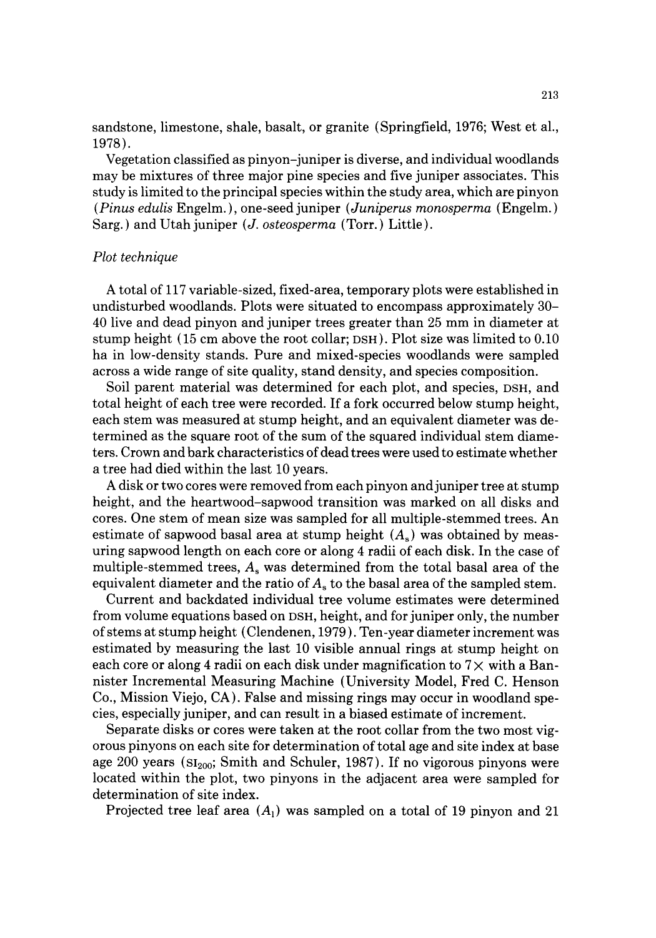sandstone, limestone, shale, basalt, or granite (Springfield, 1976; West et al., 1978).

Vegetation classified as pinyon-juniper is diverse, and individual woodlands may be mixtures of three major pine species and five juniper associates. This study is limited to the principal species within the study area, which are pinyon *(Pinus edulis* Engelm. ), one-seed juniper *(Juniperus monosperma* (Engelm.) Sarg. ) and Utah juniper *(J. osteosperma* (Torr.) Little).

## *Plot technique*

A total of 117 variable-sized, fixed-area, temporary plots were established in undisturbed woodlands. Plots were situated to encompass approximately 30- 40 live and dead pinyon and juniper trees greater than 25 mm in diameter at stump height (15 cm above the root collar; DSH ). Plot size was limited to 0.10 ha in low-density stands. Pure and mixed-species woodlands were sampled across a wide range of site quality, stand density, and species composition.

Soil parent material was determined for each plot, and species, DSH, and total height of each tree were recorded. If a fork occurred below stump height, each stem was measured at stump height, and an equivalent diameter was determined as the square root of the sum of the squared individual stem diameters. Crown and bark characteristics of dead trees were used to estimate whether a tree had died within the last 10 years.

A disk or two cores were removed from each pinyon and juniper tree at stump height, and the heartwood-sapwood transition was marked on all disks and cores. One stem of mean size was sampled for all multiple-stemmed trees. An estimate of sapwood basal area at stump height  $(A_s)$  was obtained by measuring sapwood length on each core or along 4 radii of each disk. In the case of multiple-stemmed trees,  $A_s$  was determined from the total basal area of the equivalent diameter and the ratio of  $A<sub>s</sub>$  to the basal area of the sampled stem.

Current and backdated individual tree volume estimates were determined from volume equations based on DSH, height, and for juniper only, the number of stems at stump height (Clendenen, 1979 ). Ten-year diameter increment was estimated by measuring the last 10 visible annual rings at stump height on each core or along 4 radii on each disk under magnification to  $7\times$  with a Bannister Incremental Measuring Machine (University Model, Fred C. Henson Co., Mission Viejo, CA). False and missing rings may occur in woodland species, especially juniper, and can result in a biased estimate of increment.

Separate disks or cores were taken at the root collar from the two most vigorous pinyons on each site for determination of total age and site index at base age 200 years ( $SI<sub>200</sub>$ ; Smith and Schuler, 1987). If no vigorous pinyons were located within the plot, two pinyons in the adjacent area were sampled for determination of site index.

Projected tree leaf area  $(A_1)$  was sampled on a total of 19 pinyon and 21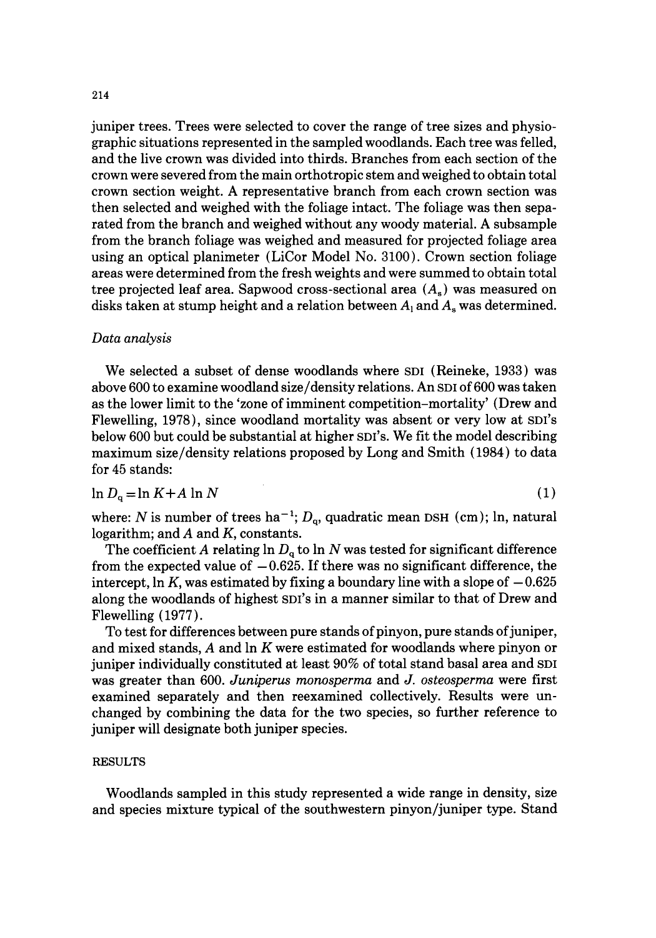juniper trees. Trees were selected to cover the range of tree sizes and physiographic situations represented in the sampled woodlands. Each tree was felled, and the live crown was divided into thirds. Branches from each section of the crown were severed from the main orthotropic stem and weighed to obtain total crown section weight. A representative branch from each crown section was then selected and weighed with the foliage intact. The foliage was then separated from the branch and weighed without any woody material. A subsample from the branch foliage was weighed and measured for projected foliage area using an optical planimeter (LiCor Model No. 3100). Crown section foliage areas were determined from the fresh weights and were summed to obtain total tree projected leaf area. Sapwood cross-sectional area  $(A_s)$  was measured on disks taken at stump height and a relation between  $A_1$  and  $A_s$  was determined.

## *Data analysis*

We selected a subset of dense woodlands where SDI (Reineke, 1933) was above 600 to examine woodland size/density relations. An SDI of 600 was taken as the lower limit to the 'zone of imminent competition-mortality' (Drew and Flewelling, 1978), since woodland mortality was absent or very low at SDI's below 600 but could be substantial at higher SDI's. We fit the model describing maximum size/density relations proposed by Long and Smith { 1984) to data for 45 stands:

$$
\ln D_{\rm q} = \ln K + A \ln N \tag{1}
$$

where: N is number of trees ha<sup>-1</sup>;  $D_{\alpha}$ , quadratic mean DSH (cm); ln, natural logarithm; and A and K, constants.

The coefficient A relating  $\ln D_q$  to  $\ln N$  was tested for significant difference from the expected value of  $-0.625$ . If there was no significant difference, the intercept, ln K, was estimated by fixing a boundary line with a slope of  $-0.625$ along the woodlands of highest SDI'S in a manner similar to that of Drew and Flewelling (1977).

To test for differences between pure stands of pinyon, pure stands of juniper, and mixed stands,  $A$  and  $\ln K$  were estimated for woodlands where pinyon or juniper individually constituted at least 90% of total stand basal area and SDI was greater than 600. *Juniperus monosperma* and *J. osteosperma* were first examined separately and then reexamined collectively. Results were unchanged by combining the data for the two species, so further reference to juniper will designate both juniper species.

# RESULTS

Woodlands sampled in this study represented a wide range in density, size and species mixture typical of the southwestern pinyon/juniper type. Stand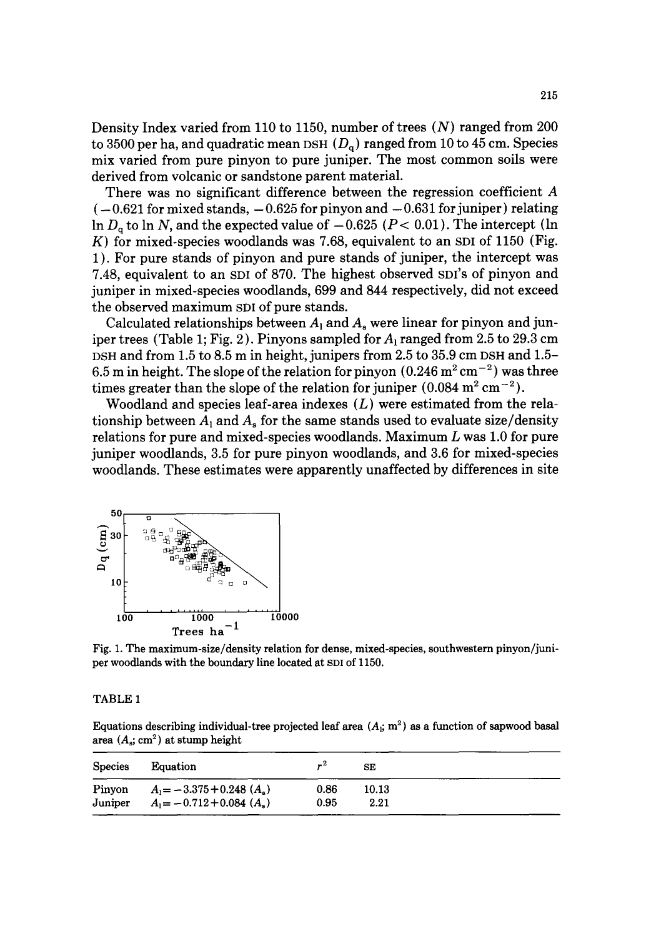Density Index varied from 110 to 1150, number of trees (N) ranged from 200 to 3500 per ha, and quadratic mean DSH  $(D<sub>a</sub>)$  ranged from 10 to 45 cm. Species mix varied from pure pinyon to pure juniper. The most common soils were derived from volcanic or sandstone parent material.

There was no significant difference between the regression coefficient A  $(-0.621$  for mixed stands,  $-0.625$  for pinyon and  $-0.631$  for juniper) relating In  $D_q$  to ln N, and the expected value of  $-0.625$  ( $P < 0.01$ ). The intercept (ln K) for mixed-species woodlands was 7.68, equivalent to an SDI of 1150 (Fig. 1 ). For pure stands of pinyon and pure stands of juniper, the intercept was 7.48, equivalent to an SDI of 870. The highest observed SDI'S of pinyon and juniper in mixed-species woodlands, 699 and 844 respectively, did not exceed the observed maximum SDI of pure stands.

Calculated relationships between  $A_1$  and  $A_n$  were linear for pinyon and juniper trees (Table 1; Fig. 2). Pinyons sampled for  $A_1$  ranged from 2.5 to 29.3 cm DSH and from 1.5 to 8.5 m in height, junipers from 2.5 to 35.9 cm DSH and 1.5-6.5 m in height. The slope of the relation for pinyon  $(0.246 \,\mathrm{m}^2 \,\mathrm{cm}^{-2})$  was three times greater than the slope of the relation for juniper  $(0.084 \text{ m}^2 \text{ cm}^{-2})$ .

Woodland and species leaf-area indexes  $(L)$  were estimated from the relationship between  $A_1$  and  $A_5$  for the same stands used to evaluate size/density relations for pure and mixed-species woodlands. Maximum  $L$  was 1.0 for pure juniper woodlands, 3.5 for pure pinyon woodlands, and 3.6 for mixed-species woodlands. These estimates were apparently unaffected by differences in site



Fig. 1. The maximum-size/density relation for dense, mixed-species, southwestern pinyon/juniper woodlands with the boundary line located at SDI of 1150.

## TABLE 1

Equations describing individual-tree projected leaf area  $(A_i; m^2)$  as a function of sapwood basal area  $(A_s; cm^2)$  at stump height

| Species | Equation                                 | $r^2$ | <b>SE</b> |  |
|---------|------------------------------------------|-------|-----------|--|
| Pinyon  | $A_1 = -3.375 + 0.248$ ( $A_s$ )         | 0.86  | 10.13     |  |
| Juniper | $A_1 = -0.712 + 0.084$ (A <sub>s</sub> ) | 0.95  | 2.21      |  |
|         |                                          |       |           |  |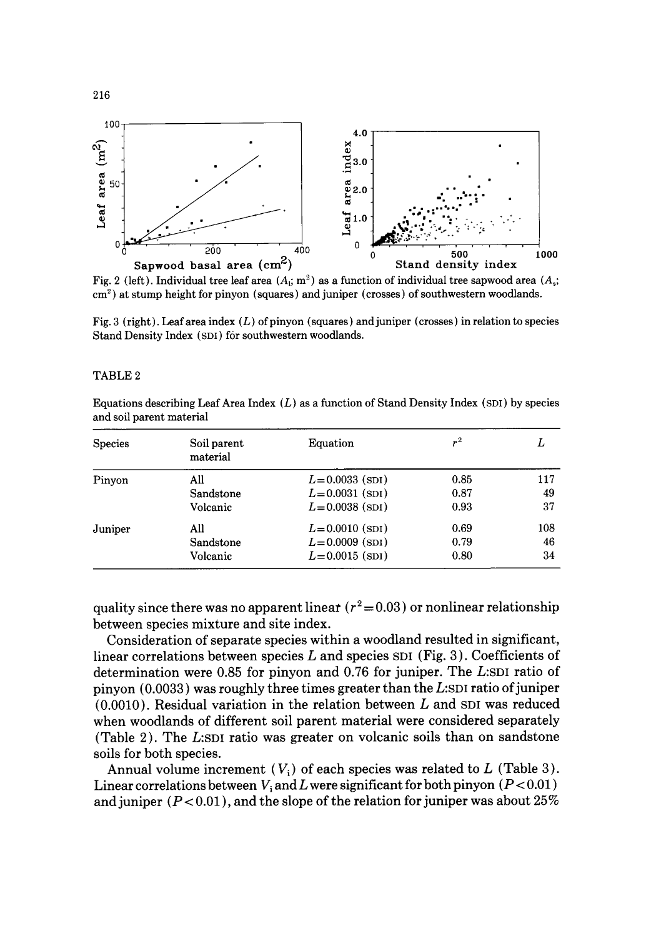

Fig. 2 (left). Individual tree leaf area  $(A_i; m^2)$  as a function of individual tree sapwood area  $(A_i;$ cm 2) **at stump height for pinyon (squares) and juniper (crosses) of southwestern woodlands.** 

Fig. 3 **(right). Leaf area index (L) of pinyon (squares) and juniper (crosses) in relation to species Stand Density** Index (SDI) **for southwestern woodlands.** 

#### TABLE 2

**Equations describing Leaf Area** Index (L) as a **function of Stand Density** Index (SDI) by **species and soil parent material** 

| Soil parent<br>material | Equation           | $\mathbf{r}^2$ | L   |
|-------------------------|--------------------|----------------|-----|
| All                     | $L = 0.0033$ (SDI) | 0.85           | 117 |
| Sandstone               | $L = 0.0031$ (SDI) | 0.87           | 49  |
| Volcanic                | $L = 0.0038$ (SDI) | 0.93           | 37  |
| All                     | $L = 0.0010$ (spi) | 0.69           | 108 |
| Sandstone               | $L = 0.0009$ (SDI) | 0.79           | 46  |
| Volcanic                | $L = 0.0015$ (SDI) | 0.80           | 34  |
|                         |                    |                |     |

quality since there was no apparent linear  $(r^2 = 0.03)$  or nonlinear relationship **between species mixture and site index.** 

**Consideration of separate species within a woodland resulted in significant, linear correlations between species L and species SDI (Fig. 3). Coefficients of determination were 0.85 for pinyon and 0.76 for juniper. The L:SDI ratio of pinyon (0.0033) was roughly three times greater than the L:SDI ratio of juniper (0.0010). Residual variation in the relation between L and SDI was reduced when woodlands of different soil parent material were considered separately (Table 2). The L:SDI ratio was greater on volcanic soils than on sandstone soils for both species.** 

Annual volume increment  $(V_i)$  of each species was related to  $L$  (Table 3). Linear correlations between  $V_i$  and  $L$  were significant for both pinyon  $(P<0.01)$ **and juniper (P < 0.01 ), and the slope of the relation for juniper was about 25 %**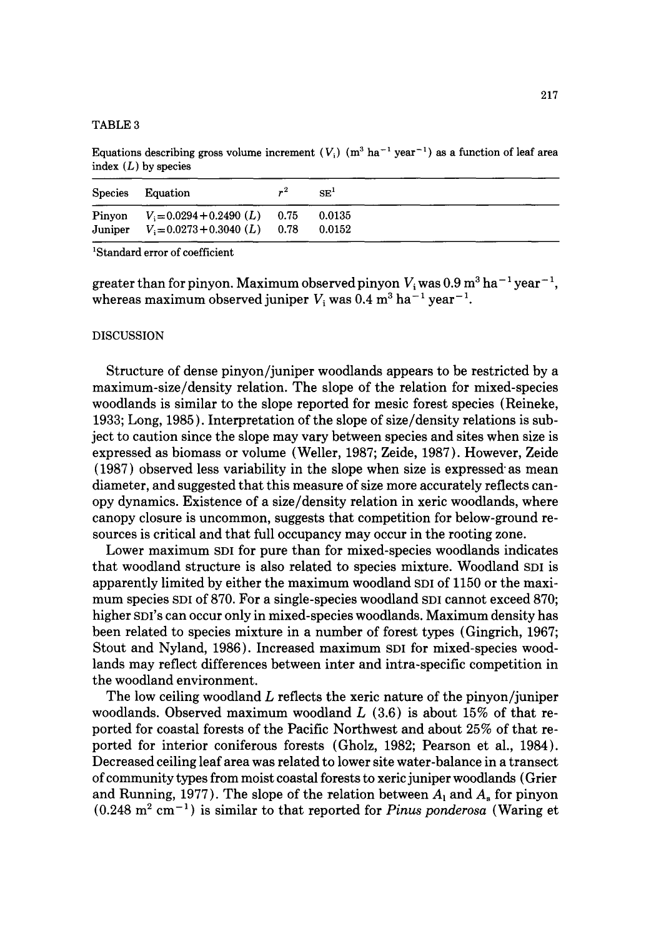#### TABLE 3

Equations describing gross volume increment  $(V_i)$  (m<sup>3</sup> ha<sup>-1</sup> year<sup>-1</sup>) as a function of leaf area index  $(L)$  by species

| Species | Equation                                                                            | $r^2$ | SE <sup>T</sup>  |
|---------|-------------------------------------------------------------------------------------|-------|------------------|
|         | Pinyon $V_i = 0.0294 + 0.2490$ (L) 0.75<br>Juniper $V_1 = 0.0273 + 0.3040$ (L) 0.78 |       | 0.0135<br>0.0152 |

'Standard error of coefficient

greater than for pinyon. Maximum observed pinyon  $V_i$  was  $0.9$  m<sup>3</sup> ha<sup>-1</sup> year<sup>-1</sup>, whereas maximum observed juniper  $V_i$  was 0.4 m<sup>3</sup> ha<sup>-1</sup> year<sup>-1</sup>.

## DISCUSSION

Structure of dense pinyon/juniper woodlands appears to be restricted by a maximum-size/density relation. The slope of the relation for mixed-species woodlands is similar to the slope reported for mesic forest species (Reineke, 1933; Long, 1985 ). Interpretation of the slope of size/density relations is subject to caution since the slope may vary between species and sites when size is expressed as biomass or volume (Weller, 1987; Zeide, 1987). However, Zeide (1987) observed less variability in the slope when size is expressed" as mean diameter, and suggested that this measure of size more accurately reflects canopy dynamics. Existence of a size/density relation in xeric woodlands, where canopy closure is uncommon, suggests that competition for below-ground resources is critical and that full occupancy may occur in the rooting zone.

Lower maximum SDI for pure than for mixed-species woodlands indicates that woodland structure is also related to species mixture. Woodland SDI is apparently limited by either the maximum woodland SDI of 1150 or the maximum species SDI of 870. For a single-species woodland SDI cannot exceed 870; higher SDI's can occur only in mixed-species woodlands. Maximum density has been related to species mixture in a number of forest types (Gingrich, 1967; Stout and Nyland, 1986). Increased maximum SDI for mixed-species woodlands may reflect differences between inter and intra-specific competition in the woodland environment.

The low ceiling woodland  $L$  reflects the xeric nature of the pinyon/juniper woodlands. Observed maximum woodland  $L(3.6)$  is about 15% of that reported for coastal forests of the Pacific Northwest and about 25% of that reported for interior coniferous forests (Gholz, 1982; Pearson et al., 1984). Decreased ceiling leaf area was related to lower site water-balance in a transect of community types from moist coastal forests to xeric juniper woodlands (Grier and Running, 1977). The slope of the relation between  $A_1$  and  $A_s$  for pinyon  $(0.248 \text{ m}^2 \text{ cm}^{-1})$  is similar to that reported for *Pinus ponderosa* (Waring et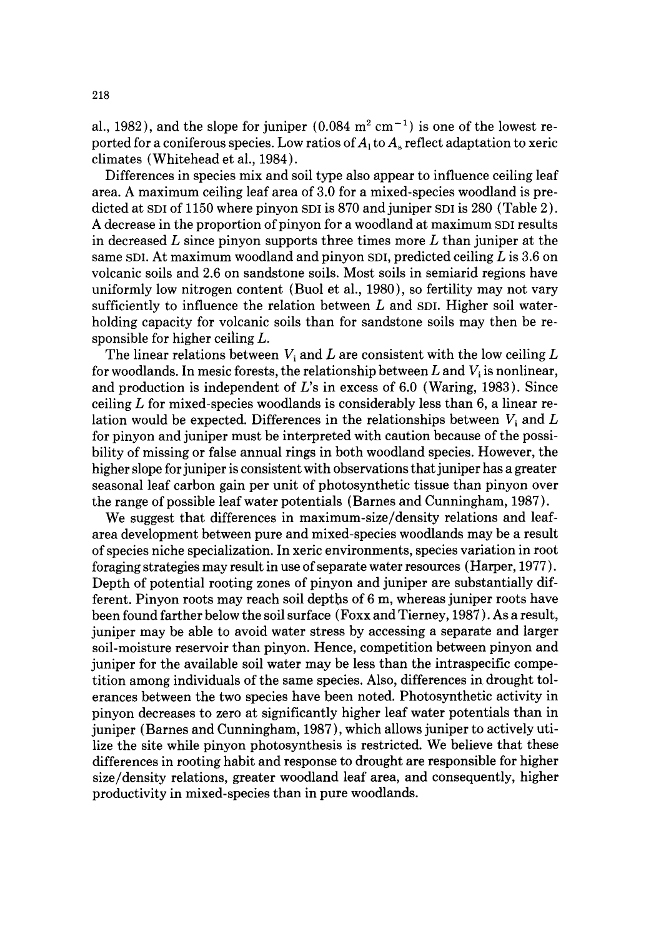al., 1982), and the slope for juniper  $(0.084 \text{ m}^2 \text{ cm}^{-1})$  is one of the lowest reported for a coniferous species. Low ratios of  $A_1$  to  $A_s$  reflect adaptation to xeric climates (Whitehead et al., 1984).

Differences in species mix and soil type also appear to influence ceiling leaf area. A maximum ceiling leaf area of 3.0 for a mixed-species woodland is predicted at  $SDI$  of  $1150$  where pinyon  $SDI$  is  $870$  and juniper  $SDI$  is  $280$  (Table 2). A decrease in the proportion of pinyon for a woodland at maximum SDI results in decreased  $L$  since pinyon supports three times more  $L$  than juniper at the same SDI. At maximum woodland and pinyon SDI, predicted ceiling  $L$  is 3.6 on volcanic soils and 2.6 on sandstone soils. Most soils in semiarid regions have uniformly low nitrogen content (Buol et al., 1980), so fertility may not vary sufficiently to influence the relation between  $L$  and SDI. Higher soil waterholding capacity for volcanic soils than for sandstone soils may then be responsible for higher ceiling L.

The linear relations between  $V_i$  and L are consistent with the low ceiling L for woodlands. In mesic forests, the relationship between L and  $V_i$  is nonlinear, and production is independent of  $L$ 's in excess of 6.0 (Waring, 1983). Since ceiling  $L$  for mixed-species woodlands is considerably less than 6, a linear relation would be expected. Differences in the relationships between  $V_i$  and  $L$ for pinyon and juniper must be interpreted with caution because of the possibility of missing or false annual rings in both woodland species. However, the higher slope for juniper is consistent with observations that juniper has a greater seasonal leaf carbon gain per unit of photosynthetic tissue than pinyon over the range of possible leaf water potentials (Barnes and Cunningham, 1987 ).

We suggest that differences in maximum-size/density relations and leafarea development between pure and mixed-species woodlands may be a result of species niche specialization. In xeric environments, species variation in root foraging strategies may result in use of separate water resources (Harper, 1977). Depth of potential rooting zones of pinyon and juniper are substantially different. Pinyon roots may reach soil depths of 6 m, whereas juniper roots have been found farther below the soil surface (Foxx and Tierney, 1987). As a result, juniper may be able to avoid water stress by accessing a separate and larger soil-moisture reservoir than pinyon. Hence, competition between pinyon and juniper for the available soil water may be less than the intraspecific competition among individuals of the same species. Also, differences in drought tolerances between the two species have been noted. Photosynthetic activity in pinyon decreases to zero at significantly higher leaf water potentials than in juniper (Barnes and Cunningham, 1987), which allows juniper to actively utilize the site while pinyon photosynthesis is restricted. We believe that these differences in rooting habit and response to drought are responsible for higher size/density relations, greater woodland leaf area, and consequently, higher productivity in mixed-species than in pure woodlands.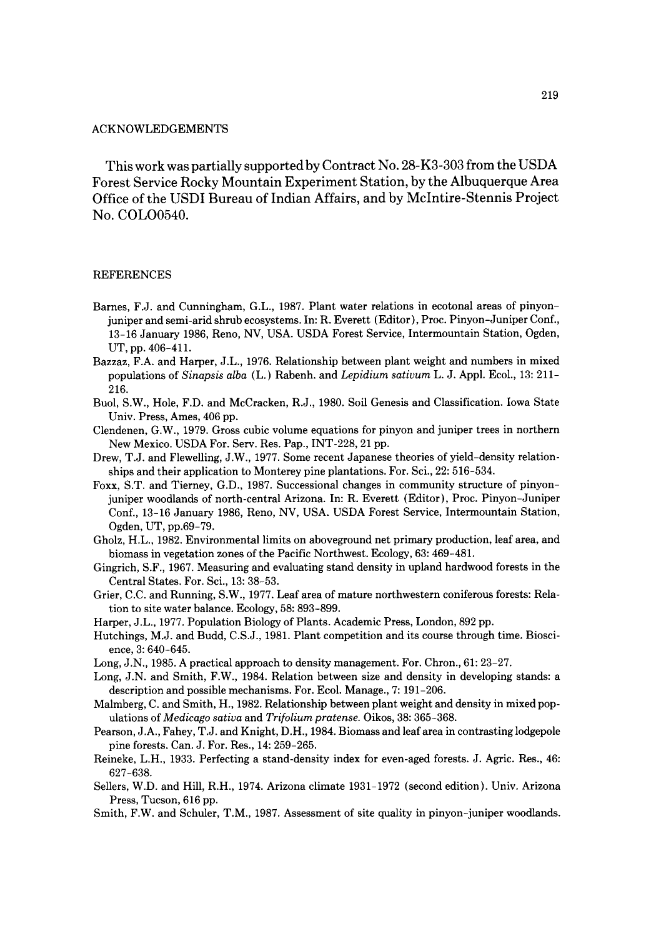#### ACKNOWLEDGEMENTS

This work was partially supported by Contract No. 28-K3-303 from the USDA Forest Service Rocky Mountain Experiment Station, by the Albuquerque Area Office of the USDI Bureau of Indian Affairs, and by McIntire-Stennis Project No. COLO0540.

#### REFERENCES

- Barnes, F.J. and Cunningham, G.L., 1987. Plant water relations in ecotonal areas of pinyonjuniper and semi-arid shrub ecosystems. In: R. Everett (Editor), Proc. Pinyon-Juniper Conf., 13-16 January 1986, Reno, NV, USA. USDA Forest Service, Intermountain Station, Ogden, UT, pp. 406-411.
- Bazzaz, F.A. and Harper, J.L., 1976. Relationship between plant weight and numbers in mixed populations of *Sinapsis alba* (L.) Rabenh. and *Lepidium sativum* L. J. Appl. Ecol., 13: 211- 216.
- Buol, S.W., Hole, F.D. and McCracken, R.J., 1980. Soil Genesis and Classification. Iowa State Univ. Press, Ames, 406 pp.
- Clendenen, G.W., 1979. Gross cubic volume equations for pinyon and juniper trees in northern New Mexico. USDA For. Serv. Res. Pap., INT-228, 21 pp.
- Drew, T.J. and Flewelling, J.W., 1977. Some recent Japanese theories of yield-density relationships and their application to Monterey pine plantations. For. Sci., 22: 516-534.
- Foxx, S.T. and Tierney, G.D., 1987. Successional changes in community structure of pinyonjuniper woodlands of north-central Arizona. In: R. Everett {Editor), Proc. Pinyon-Juniper Conf., 13-16 January 1986, Reno, NV, USA. USDA Forest Service, Intermountain Station, Ogden, UT, pp.69-79.
- Gholz, H.L., 1982. Environmental limits on aboveground net primary production, leaf area, and biomass in vegetation zones of the Pacific Northwest. Ecology, 63: 469-481.
- Gingrich, S.F., 1967. Measuring and evaluating stand density in upland hardwood forests in the Central States. For. Sci., 13: 38-53.
- Grier, C.C. and Running, S.W., 1977. Leaf area of mature northwestern coniferous forests: Relation to site water balance. Ecology, 58: 893-899.
- Harper, J.L., 1977. Population Biology of Plants. Academic Press, London, 892 pp.
- Hutchings, M.J. and Budd, C.S.J., 1981. Plant competition and its course through time. Bioscience, 3: 640-645.
- Long, J.N., 1985. A practical approach to density management. For. Chron., 61: 23-27.
- Long, J.N. and Smith, F.W., 1984. Relation between size and density in developing stands: a description and possible mechanisms. For. Ecol. Manage., 7: 191-206.
- Malmberg, C. and Smith, H., 1982. Relationship between plant weight and density in mixed populations of *Medicago sativa* and *Tri[olium pratense.* Oikos, 38: 365-368.
- Pearson, J.A., Fahey, T.J. and Knight, D.H., 1984. Biomass and leaf area in contrasting lodgepole pine forests. Can. J. For. Res., 14: 259-265.
- Reineke, L.H., 1933. Perfecting a stand-density index for even-aged forests. J. Agric. Res., 46: 627-638.
- Sellers, W.D. and Hill, R.H., 1974. Arizona climate 1931-1972 (second edition). Univ. Arizona Press, Tucson, 616 pp.
- Smith, F.W. and Schuler, T.M., 1987. Assessment of site quality in pinyon-juniper woodlands.